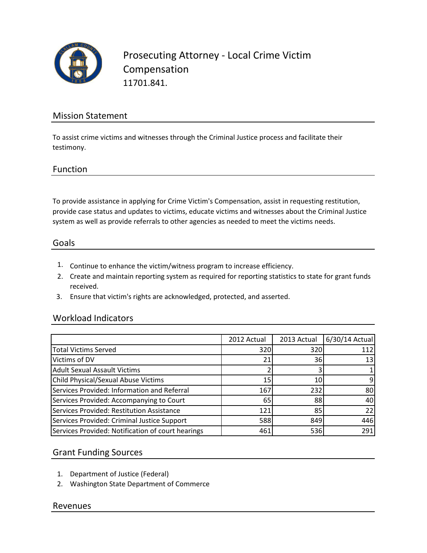

Prosecuting Attorney - Local Crime Victim Compensation 11701.841.

### Mission Statement

To assist crime victims and witnesses through the Criminal Justice process and facilitate their testimony.

#### Function

To provide assistance in applying for Crime Victim's Compensation, assist in requesting restitution, provide case status and updates to victims, educate victims and witnesses about the Criminal Justice system as well as provide referrals to other agencies as needed to meet the victims needs.

#### Goals

- 1. Continue to enhance the victim/witness program to increase efficiency.
- 2. Create and maintain reporting system as required for reporting statistics to state for grant funds received.
- 3. Ensure that victim's rights are acknowledged, protected, and asserted.

#### Workload Indicators

|                                                   | 2012 Actual | 2013 Actual | 6/30/14 Actual |
|---------------------------------------------------|-------------|-------------|----------------|
| <b>Total Victims Served</b>                       | 320         | 320         | 112            |
| Victims of DV                                     | 21          | 36          | 13             |
| <b>Adult Sexual Assault Victims</b>               |             |             |                |
| <b>Child Physical/Sexual Abuse Victims</b>        | 15 I        | 10          |                |
| Services Provided: Information and Referral       | 167         | 232         | 80             |
| Services Provided: Accompanying to Court          | 65          | 88          | 40             |
| Services Provided: Restitution Assistance         | 121         | 85          | 22             |
| Services Provided: Criminal Justice Support       | 588         | 849         | 446            |
| Services Provided: Notification of court hearings | 461         | 536         | 291            |

#### Grant Funding Sources

- 1. Department of Justice (Federal)
- 2. Washington State Department of Commerce

#### Revenues